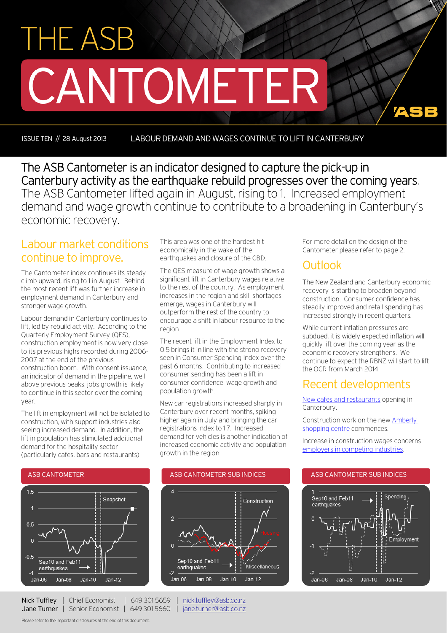# **THE ASB** CANTOMETER

ISSUE TEN // 28 August 2013 LABOUR DEMAND AND WAGES CONTINUE TO LIFT IN CANTERBURY

The ASB Cantometer is an indicator designed to capture the pick-up in Canterbury activity as the earthquake rebuild progresses over the coming years. The ASB Cantometer lifted again in August, rising to 1. Increased employment demand and wage growth continue to contribute to a broadening in Canterbury's economic recovery.

## Labour market conditions continue to improve.

The Cantometer index continues its steady climb upward, rising to 1 in August. Behind the most recent lift was further increase in employment demand in Canterbury and stronger wage growth.

Labour demand in Canterbury continues to lift, led by rebuild activity. According to the Quarterly Employment Survey (QES), construction employment is now very close to its previous highs recorded during 2006- 2007 at the end of the previous construction boom. With consent issuance, an indicator of demand in the pipeline, well above previous peaks, jobs growth is likely to continue in this sector over the coming year.

The lift in employment will not be isolated to construction, with support industries also seeing increased demand. In addition, the lift in population has stimulated additional demand for the hospitality sector (particularly cafes, bars and restaurants).

This area was one of the hardest hit economically in the wake of the earthquakes and closure of the CBD.

The QES measure of wage growth shows a significant lift in Canterbury wages relative to the rest of the country. As employment increases in the region and skill shortages emerge, wages in Canterbury will outperform the rest of the country to encourage a shift in labour resource to the region.

The recent lift in the Employment Index to 0.5 brings it in line with the strong recovery seen in Consumer Spending Index over the past 6 months. Contributing to increased consumer sending has been a lift in consumer confidence, wage growth and population growth.

New car registrations increased sharply in Canterbury over recent months, spiking higher again in July and bringing the car registrations index to 1.7. Increased demand for vehicles is another indication of increased economic activity and population growth in the region



For more detail on the design of the Cantometer please refer to page 2.

## **Outlook**

The New Zealand and Canterbury economic recovery is starting to broaden beyond construction. Consumer confidence has steadily improved and retail spending has increased strongly in recent quarters.

72

While current inflation pressures are subdued, it is widely expected inflation will quickly lift over the coming year as the economic recovery strengthens. We continue to expect the RBNZ will start to lift the OCR from March 2014.

## Recent developments

[New cafes and restaurants](http://www.stuff.co.nz/the-press/christchurch-life/eat-and-drink/cafe-chat/9038118/Caravan-goodies-coffee-and-spice) opening in Canterbury.

Construction work on the ne[w Amberly](http://www.stuff.co.nz/the-press/business/9029416/Amberley-shopping-centre-work-starts)  [shopping centre](http://www.stuff.co.nz/the-press/business/9029416/Amberley-shopping-centre-work-starts) commences.

Increase in construction wages concerns [employers in competing industries.](http://www.stuff.co.nz/the-press/business/the-rebuild/9020720/Rebuild-pay-likely-to-lure-factory-staff) 





Nick Tuffley | Chief Economist | 649 301 5659 | [nick.tuffley@asb.co.nz](mailto:nick.tuffley@asb.co.nz) Jane Turner | Senior Economist | 649 301 5660 | [jane.turner@asb.co.nz](mailto:jane.turner@asb.co.nz)

Please refer to the important disclosures at the end of this document.